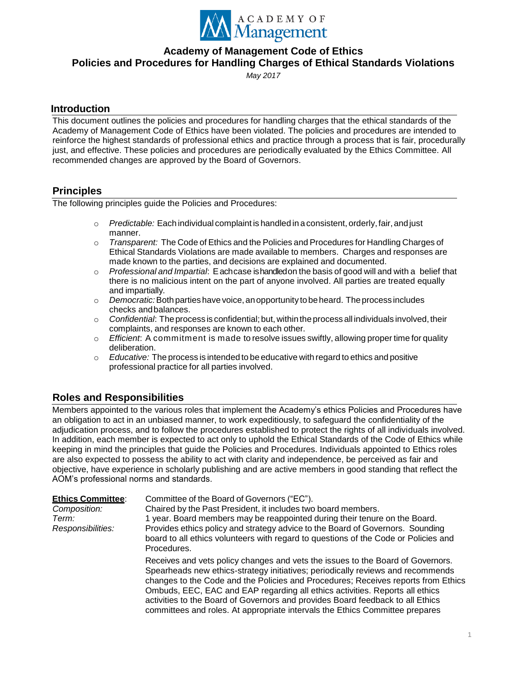

*May 2017*

# **Introduction**

This document outlines the policies and procedures for handling charges that the ethical standards of the Academy of Management Code of Ethics have been violated. The policies and procedures are intended to reinforce the highest standards of professional ethics and practice through a process that is fair, procedurally just, and effective. These policies and procedures are periodically evaluated by the Ethics Committee. All recommended changes are approved by the Board of Governors.

# **Principles**

The following principles guide the Policies and Procedures:

- o *Predictable:* Each individual complaint is handled in a consistent, orderly,fair,andjust manner.
- o *Transparent:* The Code of Ethics and the Policies and Procedures for Handling Charges of Ethical Standards Violations are made available to members. Charges and responses are made known to the parties, and decisions are explained and documented.
- o *Professional and Impartial*: Eachcase ishandledon the basis of good will and with a belief that there is no malicious intent on the part of anyone involved. All parties are treated equally and impartially.
- o *Democratic:*Both parties have voice,anopportunity tobeheard. Theprocess includes checks andbalances.
- o *Confidential*: The process is confidential; but, within the process all individuals involved, their complaints, and responses are known to each other.
- o *Efficient*: A commitment is made to resolve issues swiftly, allowing proper time for quality deliberation.
- o *Educative:* The process is intended to be educative with regard to ethics and positive professional practice for all parties involved.

# **Roles and Responsibilities**

Members appointed to the various roles that implement the Academy's ethics Policies and Procedures have an obligation to act in an unbiased manner, to work expeditiously, to safeguard the confidentiality of the adjudication process, and to follow the procedures established to protect the rights of all individuals involved. In addition, each member is expected to act only to uphold the Ethical Standards of the Code of Ethics while keeping in mind the principles that guide the Policies and Procedures. Individuals appointed to Ethics roles are also expected to possess the ability to act with clarity and independence, be perceived as fair and objective, have experience in scholarly publishing and are active members in good standing that reflect the AOM's professional norms and standards.

| <b>Ethics Committee:</b><br>Composition:<br>Term:<br>Responsibilities: | Committee of the Board of Governors ("EC").<br>Chaired by the Past President, it includes two board members.<br>1 year. Board members may be reappointed during their tenure on the Board.<br>Provides ethics policy and strategy advice to the Board of Governors. Sounding<br>board to all ethics volunteers with regard to questions of the Code or Policies and<br>Procedures.                                                                                                                        |
|------------------------------------------------------------------------|-----------------------------------------------------------------------------------------------------------------------------------------------------------------------------------------------------------------------------------------------------------------------------------------------------------------------------------------------------------------------------------------------------------------------------------------------------------------------------------------------------------|
|                                                                        | Receives and vets policy changes and vets the issues to the Board of Governors.<br>Spearheads new ethics-strategy initiatives; periodically reviews and recommends<br>changes to the Code and the Policies and Procedures; Receives reports from Ethics<br>Ombuds, EEC, EAC and EAP regarding all ethics activities. Reports all ethics<br>activities to the Board of Governors and provides Board feedback to all Ethics<br>committees and roles. At appropriate intervals the Ethics Committee prepares |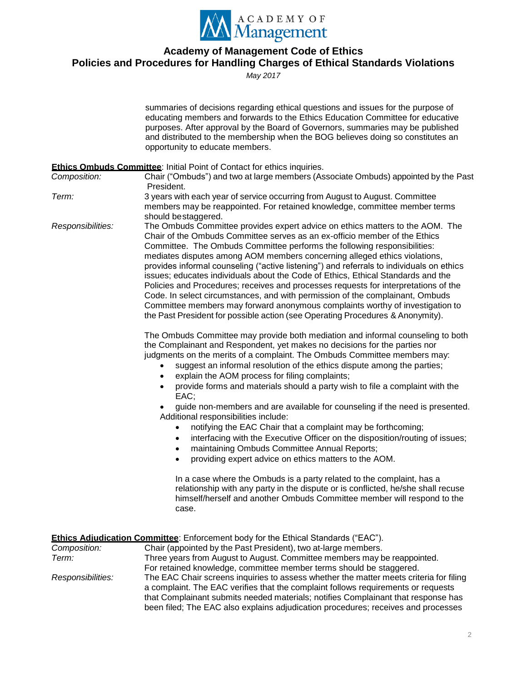

*May 2017*

|                   | summaries of decisions regarding ethical questions and issues for the purpose of<br>educating members and forwards to the Ethics Education Committee for educative<br>purposes. After approval by the Board of Governors, summaries may be published<br>and distributed to the membership when the BOG believes doing so constitutes an<br>opportunity to educate members.                                                                                                                                                                                                                                                                                                                                                                                                                                                                                                                           |
|-------------------|------------------------------------------------------------------------------------------------------------------------------------------------------------------------------------------------------------------------------------------------------------------------------------------------------------------------------------------------------------------------------------------------------------------------------------------------------------------------------------------------------------------------------------------------------------------------------------------------------------------------------------------------------------------------------------------------------------------------------------------------------------------------------------------------------------------------------------------------------------------------------------------------------|
|                   | <b>Ethics Ombuds Committee: Initial Point of Contact for ethics inquiries.</b>                                                                                                                                                                                                                                                                                                                                                                                                                                                                                                                                                                                                                                                                                                                                                                                                                       |
| Composition:      | Chair ("Ombuds") and two at large members (Associate Ombuds) appointed by the Past<br>President.                                                                                                                                                                                                                                                                                                                                                                                                                                                                                                                                                                                                                                                                                                                                                                                                     |
| Term:             | 3 years with each year of service occurring from August to August. Committee<br>members may be reappointed. For retained knowledge, committee member terms<br>should be staggered.                                                                                                                                                                                                                                                                                                                                                                                                                                                                                                                                                                                                                                                                                                                   |
| Responsibilities: | The Ombuds Committee provides expert advice on ethics matters to the AOM. The<br>Chair of the Ombuds Committee serves as an ex-officio member of the Ethics<br>Committee. The Ombuds Committee performs the following responsibilities:<br>mediates disputes among AOM members concerning alleged ethics violations,<br>provides informal counseling ("active listening") and referrals to individuals on ethics<br>issues; educates individuals about the Code of Ethics, Ethical Standards and the<br>Policies and Procedures; receives and processes requests for interpretations of the<br>Code. In select circumstances, and with permission of the complainant, Ombuds<br>Committee members may forward anonymous complaints worthy of investigation to<br>the Past President for possible action (see Operating Procedures & Anonymity).                                                      |
|                   | The Ombuds Committee may provide both mediation and informal counseling to both<br>the Complainant and Respondent, yet makes no decisions for the parties nor<br>judgments on the merits of a complaint. The Ombuds Committee members may:<br>suggest an informal resolution of the ethics dispute among the parties;<br>explain the AOM process for filing complaints;<br>$\bullet$<br>provide forms and materials should a party wish to file a complaint with the<br>EAC;<br>guide non-members and are available for counseling if the need is presented.<br>Additional responsibilities include:<br>notifying the EAC Chair that a complaint may be forthcoming;<br>$\bullet$<br>interfacing with the Executive Officer on the disposition/routing of issues;<br>$\bullet$<br>maintaining Ombuds Committee Annual Reports;<br>$\bullet$<br>providing expert advice on ethics matters to the AOM. |
|                   | $\bullet$                                                                                                                                                                                                                                                                                                                                                                                                                                                                                                                                                                                                                                                                                                                                                                                                                                                                                            |

In a case where the Ombuds is a party related to the complaint, has a relationship with any party in the dispute or is conflicted, he/she shall recuse himself/herself and another Ombuds Committee member will respond to the case.

| <b>Ethics Adiudication Committee:</b> Enforcement body for the Ethical Standards ("EAC"). |                                                                                                                                                                                                                                                                                                                                                       |  |  |
|-------------------------------------------------------------------------------------------|-------------------------------------------------------------------------------------------------------------------------------------------------------------------------------------------------------------------------------------------------------------------------------------------------------------------------------------------------------|--|--|
| Composition:                                                                              | Chair (appointed by the Past President), two at-large members.                                                                                                                                                                                                                                                                                        |  |  |
| Term:                                                                                     | Three years from August to August. Committee members may be reappointed.                                                                                                                                                                                                                                                                              |  |  |
|                                                                                           | For retained knowledge, committee member terms should be staggered.                                                                                                                                                                                                                                                                                   |  |  |
| Responsibilities:                                                                         | The EAC Chair screens inquiries to assess whether the matter meets criteria for filing<br>a complaint. The EAC verifies that the complaint follows requirements or requests<br>that Complainant submits needed materials; notifies Complainant that response has<br>been filed; The EAC also explains adjudication procedures; receives and processes |  |  |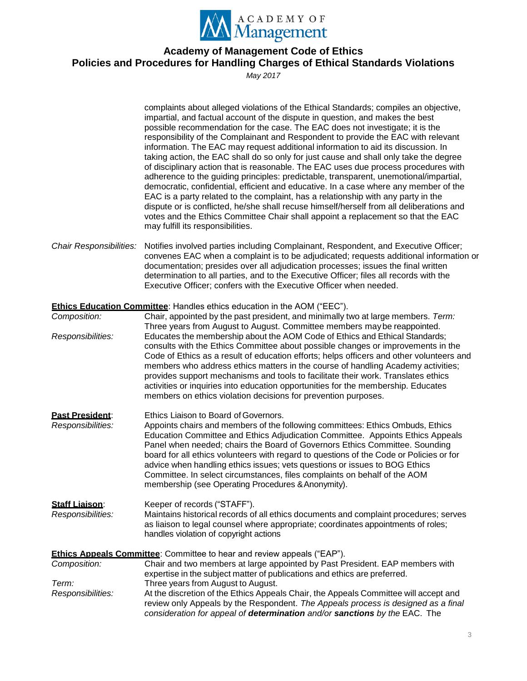

*May 2017*

|                                            | complaints about alleged violations of the Ethical Standards; compiles an objective,<br>impartial, and factual account of the dispute in question, and makes the best<br>possible recommendation for the case. The EAC does not investigate; it is the<br>responsibility of the Complainant and Respondent to provide the EAC with relevant<br>information. The EAC may request additional information to aid its discussion. In<br>taking action, the EAC shall do so only for just cause and shall only take the degree<br>of disciplinary action that is reasonable. The EAC uses due process procedures with<br>adherence to the guiding principles: predictable, transparent, unemotional/impartial,<br>democratic, confidential, efficient and educative. In a case where any member of the<br>EAC is a party related to the complaint, has a relationship with any party in the<br>dispute or is conflicted, he/she shall recuse himself/herself from all deliberations and<br>votes and the Ethics Committee Chair shall appoint a replacement so that the EAC<br>may fulfill its responsibilities. |
|--------------------------------------------|-------------------------------------------------------------------------------------------------------------------------------------------------------------------------------------------------------------------------------------------------------------------------------------------------------------------------------------------------------------------------------------------------------------------------------------------------------------------------------------------------------------------------------------------------------------------------------------------------------------------------------------------------------------------------------------------------------------------------------------------------------------------------------------------------------------------------------------------------------------------------------------------------------------------------------------------------------------------------------------------------------------------------------------------------------------------------------------------------------------|
| Chair Responsibilities:                    | Notifies involved parties including Complainant, Respondent, and Executive Officer;<br>convenes EAC when a complaint is to be adjudicated; requests additional information or<br>documentation; presides over all adjudication processes; issues the final written<br>determination to all parties, and to the Executive Officer; files all records with the<br>Executive Officer; confers with the Executive Officer when needed.                                                                                                                                                                                                                                                                                                                                                                                                                                                                                                                                                                                                                                                                          |
|                                            | <b>Ethics Education Committee:</b> Handles ethics education in the AOM ("EEC").                                                                                                                                                                                                                                                                                                                                                                                                                                                                                                                                                                                                                                                                                                                                                                                                                                                                                                                                                                                                                             |
| Composition:                               | Chair, appointed by the past president, and minimally two at large members. Term:                                                                                                                                                                                                                                                                                                                                                                                                                                                                                                                                                                                                                                                                                                                                                                                                                                                                                                                                                                                                                           |
|                                            | Three years from August to August. Committee members may be reappointed.                                                                                                                                                                                                                                                                                                                                                                                                                                                                                                                                                                                                                                                                                                                                                                                                                                                                                                                                                                                                                                    |
| Responsibilities:                          | Educates the membership about the AOM Code of Ethics and Ethical Standards;<br>consults with the Ethics Committee about possible changes or improvements in the<br>Code of Ethics as a result of education efforts; helps officers and other volunteers and<br>members who address ethics matters in the course of handling Academy activities;<br>provides support mechanisms and tools to facilitate their work. Translates ethics<br>activities or inquiries into education opportunities for the membership. Educates<br>members on ethics violation decisions for prevention purposes.                                                                                                                                                                                                                                                                                                                                                                                                                                                                                                                 |
|                                            |                                                                                                                                                                                                                                                                                                                                                                                                                                                                                                                                                                                                                                                                                                                                                                                                                                                                                                                                                                                                                                                                                                             |
| Past President:<br>Responsibilities:       | Ethics Liaison to Board of Governors.<br>Appoints chairs and members of the following committees: Ethics Ombuds, Ethics<br>Education Committee and Ethics Adjudication Committee. Appoints Ethics Appeals<br>Panel when needed; chairs the Board of Governors Ethics Committee. Sounding<br>board for all ethics volunteers with regard to questions of the Code or Policies or for<br>advice when handling ethics issues; vets questions or issues to BOG Ethics<br>Committee. In select circumstances, files complaints on behalf of the AOM<br>membership (see Operating Procedures & Anonymity).                                                                                                                                                                                                                                                                                                                                                                                                                                                                                                        |
| <b>Staff Liaison:</b><br>Responsibilities: | Keeper of records ("STAFF").<br>Maintains historical records of all ethics documents and complaint procedures; serves<br>as liaison to legal counsel where appropriate; coordinates appointments of roles;<br>handles violation of copyright actions                                                                                                                                                                                                                                                                                                                                                                                                                                                                                                                                                                                                                                                                                                                                                                                                                                                        |
|                                            | <b>Ethics Appeals Committee:</b> Committee to hear and review appeals ("EAP").                                                                                                                                                                                                                                                                                                                                                                                                                                                                                                                                                                                                                                                                                                                                                                                                                                                                                                                                                                                                                              |
| Composition:                               | Chair and two members at large appointed by Past President. EAP members with<br>expertise in the subject matter of publications and ethics are preferred.                                                                                                                                                                                                                                                                                                                                                                                                                                                                                                                                                                                                                                                                                                                                                                                                                                                                                                                                                   |
| Term:                                      | Three years from August to August.                                                                                                                                                                                                                                                                                                                                                                                                                                                                                                                                                                                                                                                                                                                                                                                                                                                                                                                                                                                                                                                                          |
| Responsibilities:                          | At the discretion of the Ethics Appeals Chair, the Appeals Committee will accept and<br>review only Appeals by the Respondent. The Appeals process is designed as a final<br>consideration for appeal of determination and/or sanctions by the EAC. The                                                                                                                                                                                                                                                                                                                                                                                                                                                                                                                                                                                                                                                                                                                                                                                                                                                     |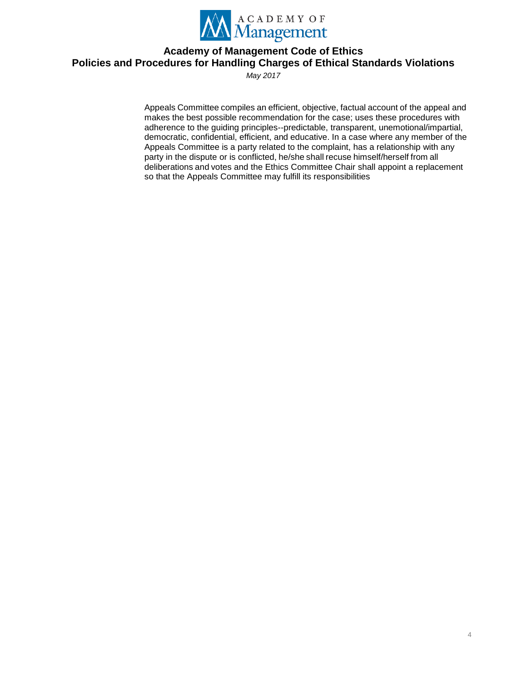

*May 2017*

Appeals Committee compiles an efficient, objective, factual account of the appeal and makes the best possible recommendation for the case; uses these procedures with adherence to the guiding principles--predictable, transparent, unemotional/impartial, democratic, confidential, efficient, and educative. In a case where any member of the Appeals Committee is a party related to the complaint, has a relationship with any party in the dispute or is conflicted, he/she shall recuse himself/herself from all deliberations and votes and the Ethics Committee Chair shall appoint a replacement so that the Appeals Committee may fulfill its responsibilities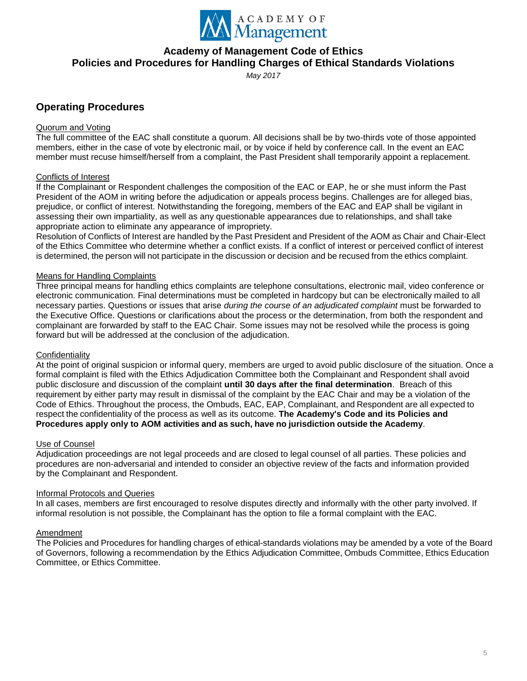

*May 2017*

# **Operating Procedures**

#### Quorum and Voting

The full committee of the EAC shall constitute a quorum. All decisions shall be by two-thirds vote of those appointed members, either in the case of vote by electronic mail, or by voice if held by conference call. In the event an EAC member must recuse himself/herself from a complaint, the Past President shall temporarily appoint a replacement.

#### Conflicts of Interest

If the Complainant or Respondent challenges the composition of the EAC or EAP, he or she must inform the Past President of the AOM in writing before the adjudication or appeals process begins. Challenges are for alleged bias, prejudice, or conflict of interest. Notwithstanding the foregoing, members of the EAC and EAP shall be vigilant in assessing their own impartiality, as well as any questionable appearances due to relationships, and shall take appropriate action to eliminate any appearance of impropriety.

Resolution of Conflicts of Interest are handled by the Past President and President of the AOM as Chair and Chair-Elect of the Ethics Committee who determine whether a conflict exists. If a conflict of interest or perceived conflict of interest is determined, the person will not participate in the discussion or decision and be recused from the ethics complaint.

#### Means for Handling Complaints

Three principal means for handling ethics complaints are telephone consultations, electronic mail, video conference or electronic communication. Final determinations must be completed in hardcopy but can be electronically mailed to all necessary parties. Questions or issues that arise *during the course of an adjudicated complaint* must be forwarded to the Executive Office. Questions or clarifications about the process or the determination, from both the respondent and complainant are forwarded by staff to the EAC Chair. Some issues may not be resolved while the process is going forward but will be addressed at the conclusion of the adjudication.

#### **Confidentiality**

At the point of original suspicion or informal query, members are urged to avoid public disclosure of the situation. Once a formal complaint is filed with the Ethics Adjudication Committee both the Complainant and Respondent shall avoid public disclosure and discussion of the complaint **until 30 days after the final determination**. Breach of this requirement by either party may result in dismissal of the complaint by the EAC Chair and may be a violation of the Code of Ethics. Throughout the process, the Ombuds, EAC, EAP, Complainant, and Respondent are all expected to respect the confidentiality of the process as well as its outcome. **The Academy's Code and its Policies and Procedures apply only to AOM activities and as such, have no jurisdiction outside the Academy**.

#### Use of Counsel

Adjudication proceedings are not legal proceeds and are closed to legal counsel of all parties. These policies and procedures are non-adversarial and intended to consider an objective review of the facts and information provided by the Complainant and Respondent.

#### Informal Protocols and Queries

In all cases, members are first encouraged to resolve disputes directly and informally with the other party involved. If informal resolution is not possible, the Complainant has the option to file a formal complaint with the EAC.

#### Amendment

The Policies and Procedures for handling charges of ethical-standards violations may be amended by a vote of the Board of Governors, following a recommendation by the Ethics Adjudication Committee, Ombuds Committee, Ethics Education Committee, or Ethics Committee.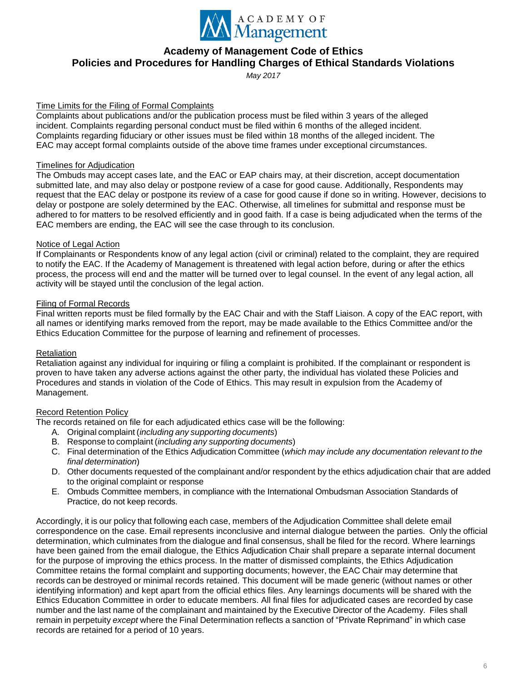

*May 2017*

#### Time Limits for the Filing of Formal Complaints

Complaints about publications and/or the publication process must be filed within 3 years of the alleged incident. Complaints regarding personal conduct must be filed within 6 months of the alleged incident. Complaints regarding fiduciary or other issues must be filed within 18 months of the alleged incident. The EAC may accept formal complaints outside of the above time frames under exceptional circumstances.

#### Timelines for Adjudication

The Ombuds may accept cases late, and the EAC or EAP chairs may, at their discretion, accept documentation submitted late, and may also delay or postpone review of a case for good cause. Additionally, Respondents may request that the EAC delay or postpone its review of a case for good cause if done so in writing. However, decisions to delay or postpone are solely determined by the EAC. Otherwise, all timelines for submittal and response must be adhered to for matters to be resolved efficiently and in good faith. If a case is being adjudicated when the terms of the EAC members are ending, the EAC will see the case through to its conclusion.

#### Notice of Legal Action

If Complainants or Respondents know of any legal action (civil or criminal) related to the complaint, they are required to notify the EAC. If the Academy of Management is threatened with legal action before, during or after the ethics process, the process will end and the matter will be turned over to legal counsel. In the event of any legal action, all activity will be stayed until the conclusion of the legal action.

#### Filing of Formal Records

Final written reports must be filed formally by the EAC Chair and with the Staff Liaison. A copy of the EAC report, with all names or identifying marks removed from the report, may be made available to the Ethics Committee and/or the Ethics Education Committee for the purpose of learning and refinement of processes.

#### Retaliation

Retaliation against any individual for inquiring or filing a complaint is prohibited. If the complainant or respondent is proven to have taken any adverse actions against the other party, the individual has violated these Policies and Procedures and stands in violation of the Code of Ethics. This may result in expulsion from the Academy of Management.

#### Record Retention Policy

The records retained on file for each adjudicated ethics case will be the following:

- A. Original complaint (*including any supporting documents*)
- B. Response to complaint (*including any supporting documents*)
- C. Final determination of the Ethics Adjudication Committee (*which may include any documentation relevant to the final determination*)
- D. Other documents requested of the complainant and/or respondent by the ethics adjudication chair that are added to the original complaint or response
- E. Ombuds Committee members, in compliance with the International Ombudsman Association Standards of Practice, do not keep records.

Accordingly, it is our policy that following each case, members of the Adjudication Committee shall delete email correspondence on the case. Email represents inconclusive and internal dialogue between the parties. Only the official determination, which culminates from the dialogue and final consensus, shall be filed for the record. Where learnings have been gained from the email dialogue, the Ethics Adjudication Chair shall prepare a separate internal document for the purpose of improving the ethics process. In the matter of dismissed complaints, the Ethics Adjudication Committee retains the formal complaint and supporting documents; however, the EAC Chair may determine that records can be destroyed or minimal records retained. This document will be made generic (without names or other identifying information) and kept apart from the official ethics files. Any learnings documents will be shared with the Ethics Education Committee in order to educate members. All final files for adjudicated cases are recorded by case number and the last name of the complainant and maintained by the Executive Director of the Academy. Files shall remain in perpetuity *except* where the Final Determination reflects a sanction of "Private Reprimand" in which case records are retained for a period of 10 years.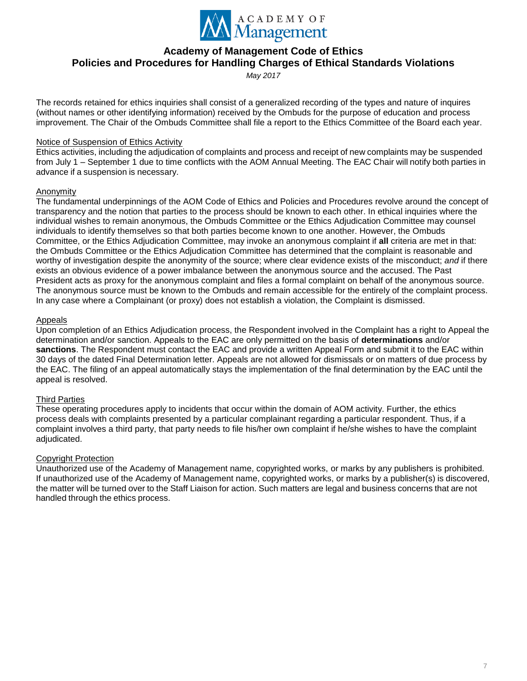

*May 2017*

The records retained for ethics inquiries shall consist of a generalized recording of the types and nature of inquires (without names or other identifying information) received by the Ombuds for the purpose of education and process improvement. The Chair of the Ombuds Committee shall file a report to the Ethics Committee of the Board each year.

#### Notice of Suspension of Ethics Activity

Ethics activities, including the adjudication of complaints and process and receipt of new complaints may be suspended from July 1 – September 1 due to time conflicts with the AOM Annual Meeting. The EAC Chair will notify both parties in advance if a suspension is necessary.

### Anonymity

The fundamental underpinnings of the AOM Code of Ethics and Policies and Procedures revolve around the concept of transparency and the notion that parties to the process should be known to each other. In ethical inquiries where the individual wishes to remain anonymous, the Ombuds Committee or the Ethics Adjudication Committee may counsel individuals to identify themselves so that both parties become known to one another. However, the Ombuds Committee, or the Ethics Adjudication Committee, may invoke an anonymous complaint if **all** criteria are met in that: the Ombuds Committee or the Ethics Adjudication Committee has determined that the complaint is reasonable and worthy of investigation despite the anonymity of the source; where clear evidence exists of the misconduct; *and* if there exists an obvious evidence of a power imbalance between the anonymous source and the accused. The Past President acts as proxy for the anonymous complaint and files a formal complaint on behalf of the anonymous source. The anonymous source must be known to the Ombuds and remain accessible for the entirely of the complaint process. In any case where a Complainant (or proxy) does not establish a violation, the Complaint is dismissed.

### Appeals

Upon completion of an Ethics Adjudication process, the Respondent involved in the Complaint has a right to Appeal the determination and/or sanction. Appeals to the EAC are only permitted on the basis of **determinations** and/or **sanctions**. The Respondent must contact the EAC and provide a written Appeal Form and submit it to the EAC within 30 days of the dated Final Determination letter. Appeals are not allowed for dismissals or on matters of due process by the EAC. The filing of an appeal automatically stays the implementation of the final determination by the EAC until the appeal is resolved.

## Third Parties

These operating procedures apply to incidents that occur within the domain of AOM activity. Further, the ethics process deals with complaints presented by a particular complainant regarding a particular respondent. Thus, if a complaint involves a third party, that party needs to file his/her own complaint if he/she wishes to have the complaint adjudicated.

## Copyright Protection

Unauthorized use of the Academy of Management name, copyrighted works, or marks by any publishers is prohibited. If unauthorized use of the Academy of Management name, copyrighted works, or marks by a publisher(s) is discovered, the matter will be turned over to the Staff Liaison for action. Such matters are legal and business concerns that are not handled through the ethics process.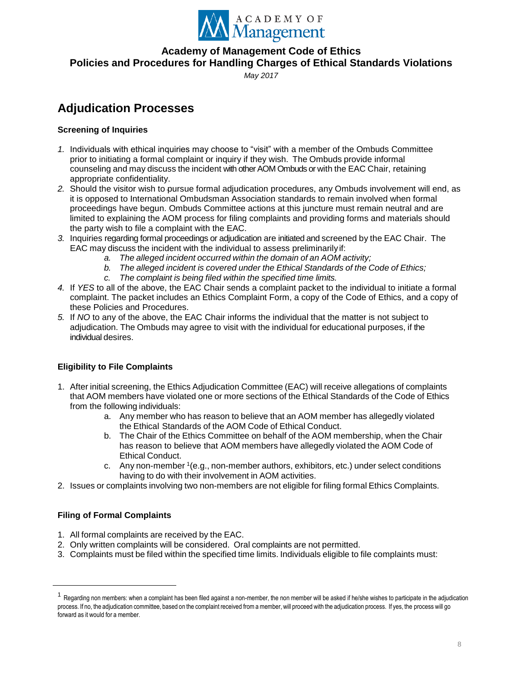

*May 2017*

# **Adjudication Processes**

# **Screening of Inquiries**

- *1.* Individuals with ethical inquiries may choose to "visit" with a member of the Ombuds Committee prior to initiating a formal complaint or inquiry if they wish. The Ombuds provide informal counseling and may discuss the incident with other AOM Ombuds or with the EAC Chair, retaining appropriate confidentiality.
- *2.* Should the visitor wish to pursue formal adjudication procedures, any Ombuds involvement will end, as it is opposed to International Ombudsman Association standards to remain involved when formal proceedings have begun. Ombuds Committee actions at this juncture must remain neutral and are limited to explaining the AOM process for filing complaints and providing forms and materials should the party wish to file a complaint with the EAC.
- *3.* Inquiries regarding formal proceedings or adjudication are initiated and screened by the EAC Chair. The EAC may discuss the incident with the individual to assess preliminarily if:
	- *a. The alleged incident occurred within the domain of an AOM activity;*
	- *b. The alleged incident is covered under the Ethical Standards of the Code of Ethics;*
	- *c. The complaint is being filed within the specified time limits.*
- *4.* If *YES* to all of the above, the EAC Chair sends a complaint packet to the individual to initiate a formal complaint. The packet includes an Ethics Complaint Form, a copy of the Code of Ethics, and a copy of these Policies and Procedures.
- *5.* If *NO* to any of the above, the EAC Chair informs the individual that the matter is not subject to adjudication. The Ombuds may agree to visit with the individual for educational purposes, if the individual desires.

# **Eligibility to File Complaints**

- 1. After initial screening, the Ethics Adjudication Committee (EAC) will receive allegations of complaints that AOM members have violated one or more sections of the Ethical Standards of the Code of Ethics from the following individuals:
	- a. Any member who has reason to believe that an AOM member has allegedly violated the Ethical Standards of the AOM Code of Ethical Conduct.
	- b. The Chair of the Ethics Committee on behalf of the AOM membership, when the Chair has reason to believe that AOM members have allegedly violated the AOM Code of Ethical Conduct.
	- c. Any non-member <sup>1</sup> (e.g., non-member authors, exhibitors, etc.) under select conditions having to do with their involvement in AOM activities.
- 2. Issues or complaints involving two non-members are not eligible for filing formal Ethics Complaints.

## **Filing of Formal Complaints**

 $\overline{a}$ 

- 1. All formal complaints are received by the EAC.
- 2. Only written complaints will be considered. Oral complaints are not permitted.
- 3. Complaints must be filed within the specified time limits. Individuals eligible to file complaints must:

<sup>&</sup>lt;sup>1</sup> Regarding non members: when a complaint has been filed against a non-member, the non member will be asked if he/she wishes to participate in the adjudication process. If no, the adjudication committee, based on the complaint received froma member, will proceed with the adjudication process. If yes, the process will go forward as it would for a member.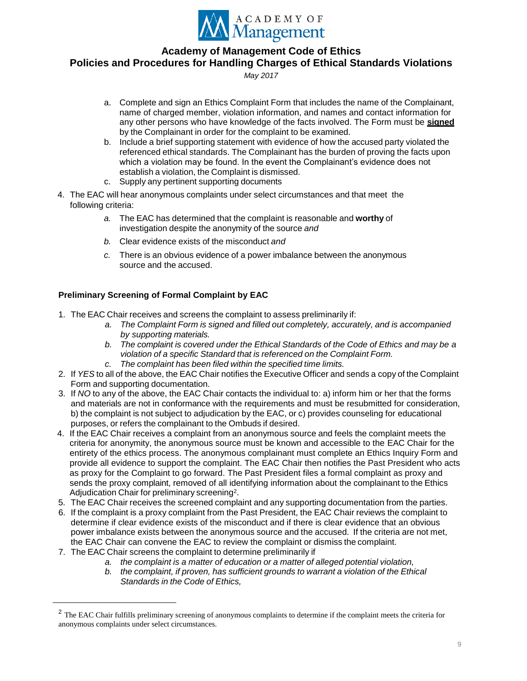

*May 2017*

- a. Complete and sign an Ethics Complaint Form that includes the name of the Complainant, name of charged member, violation information, and names and contact information for any other persons who have knowledge of the facts involved. The Form must be **signed** by the Complainant in order for the complaint to be examined.
- b. Include a brief supporting statement with evidence of how the accused party violated the referenced ethical standards. The Complainant has the burden of proving the facts upon which a violation may be found. In the event the Complainant's evidence does not establish a violation, the Complaint is dismissed.
- c. Supply any pertinent supporting documents
- 4. The EAC will hear anonymous complaints under select circumstances and that meet the following criteria:
	- *a.* The EAC has determined that the complaint is reasonable and **worthy** of investigation despite the anonymity of the source *and*
	- *b.* Clear evidence exists of the misconduct *and*
	- *c.* There is an obvious evidence of a power imbalance between the anonymous source and the accused.

## **Preliminary Screening of Formal Complaint by EAC**

- 1. The EAC Chair receives and screens the complaint to assess preliminarily if:
	- *a. The Complaint Form is signed and filled out completely, accurately, and is accompanied by supporting materials.*
	- *b. The complaint is covered under the Ethical Standards of the Code of Ethics and may be a violation of a specific Standard that is referenced on the Complaint Form.*
	- *c. The complaint has been filed within the specified time limits.*
- 2. If *YES* to all of the above, the EAC Chair notifies the Executive Officer and sends a copy of the Complaint Form and supporting documentation.
- 3. If *NO* to any of the above, the EAC Chair contacts the individual to: a) inform him or her that the forms and materials are not in conformance with the requirements and must be resubmitted for consideration, b) the complaint is not subject to adjudication by the EAC, or c) provides counseling for educational purposes, or refers the complainant to the Ombuds if desired.
- 4. If the EAC Chair receives a complaint from an anonymous source and feels the complaint meets the criteria for anonymity, the anonymous source must be known and accessible to the EAC Chair for the entirety of the ethics process. The anonymous complainant must complete an Ethics Inquiry Form and provide all evidence to support the complaint. The EAC Chair then notifies the Past President who acts as proxy for the Complaint to go forward. The Past President files a formal complaint as proxy and sends the proxy complaint, removed of all identifying information about the complainant to the Ethics Adjudication Chair for preliminary screening<sup>2</sup>.
- 5. The EAC Chair receives the screened complaint and any supporting documentation from the parties.
- 6. If the complaint is a proxy complaint from the Past President, the EAC Chair reviews the complaint to determine if clear evidence exists of the misconduct and if there is clear evidence that an obvious power imbalance exists between the anonymous source and the accused. If the criteria are not met, the EAC Chair can convene the EAC to review the complaint or dismiss the complaint.
- 7. The EAC Chair screens the complaint to determine preliminarily if

- *a. the complaint is a matter of education or a matter of alleged potential violation,*
- *b. the complaint, if proven, has sufficient grounds to warrant a violation of the Ethical Standards in the Code of Ethics,*

<sup>&</sup>lt;sup>2</sup> The EAC Chair fulfills preliminary screening of anonymous complaints to determine if the complaint meets the criteria for anonymous complaints under select circumstances.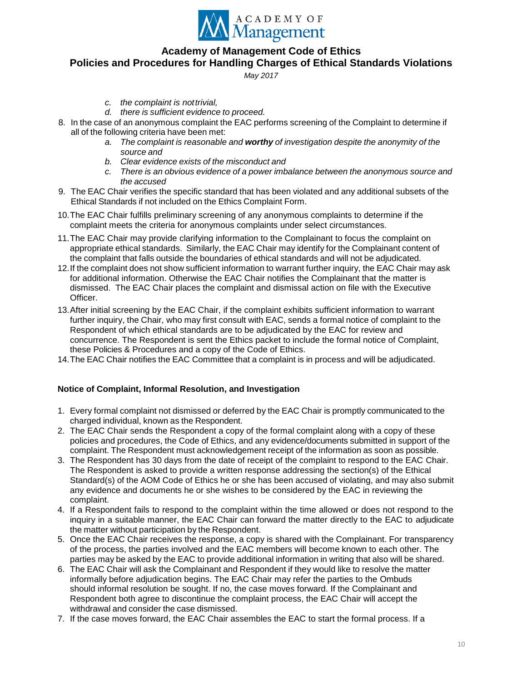

*May 2017*

- *c. the complaint is nottrivial,*
- *d. there is sufficient evidence to proceed.*
- 8. In the case of an anonymous complaint the EAC performs screening of the Complaint to determine if all of the following criteria have been met:
	- *a. The complaint is reasonable and worthy of investigation despite the anonymity of the source and*
	- *b. Clear evidence exists of the misconduct and*
	- *c. There is an obvious evidence of a power imbalance between the anonymous source and the accused*
- 9. The EAC Chair verifies the specific standard that has been violated and any additional subsets of the Ethical Standards if not included on the Ethics Complaint Form.
- 10.The EAC Chair fulfills preliminary screening of any anonymous complaints to determine if the complaint meets the criteria for anonymous complaints under select circumstances.
- 11.The EAC Chair may provide clarifying information to the Complainant to focus the complaint on appropriate ethical standards. Similarly, the EAC Chair may identify for the Complainant content of the complaint that falls outside the boundaries of ethical standards and will not be adjudicated.
- 12.If the complaint does not show sufficient information to warrant further inquiry, the EAC Chair may ask for additional information. Otherwise the EAC Chair notifies the Complainant that the matter is dismissed. The EAC Chair places the complaint and dismissal action on file with the Executive Officer.
- 13.After initial screening by the EAC Chair, if the complaint exhibits sufficient information to warrant further inquiry, the Chair, who may first consult with EAC, sends a formal notice of complaint to the Respondent of which ethical standards are to be adjudicated by the EAC for review and concurrence. The Respondent is sent the Ethics packet to include the formal notice of Complaint, these Policies & Procedures and a copy of the Code of Ethics.
- 14.The EAC Chair notifies the EAC Committee that a complaint is in process and will be adjudicated.

#### **Notice of Complaint, Informal Resolution, and Investigation**

- 1. Every formal complaint not dismissed or deferred by the EAC Chair is promptly communicated to the charged individual, known as the Respondent.
- 2. The EAC Chair sends the Respondent a copy of the formal complaint along with a copy of these policies and procedures, the Code of Ethics, and any evidence/documents submitted in support of the complaint. The Respondent must acknowledgement receipt of the information as soon as possible.
- 3. The Respondent has 30 days from the date of receipt of the complaint to respond to the EAC Chair. The Respondent is asked to provide a written response addressing the section(s) of the Ethical Standard(s) of the AOM Code of Ethics he or she has been accused of violating, and may also submit any evidence and documents he or she wishes to be considered by the EAC in reviewing the complaint.
- 4. If a Respondent fails to respond to the complaint within the time allowed or does not respond to the inquiry in a suitable manner, the EAC Chair can forward the matter directly to the EAC to adjudicate the matter without participation by the Respondent.
- 5. Once the EAC Chair receives the response, a copy is shared with the Complainant. For transparency of the process, the parties involved and the EAC members will become known to each other. The parties may be asked by the EAC to provide additional information in writing that also will be shared.
- 6. The EAC Chair will ask the Complainant and Respondent if they would like to resolve the matter informally before adjudication begins. The EAC Chair may refer the parties to the Ombuds should informal resolution be sought. If no, the case moves forward. If the Complainant and Respondent both agree to discontinue the complaint process, the EAC Chair will accept the withdrawal and consider the case dismissed.
- 7. If the case moves forward, the EAC Chair assembles the EAC to start the formal process. If a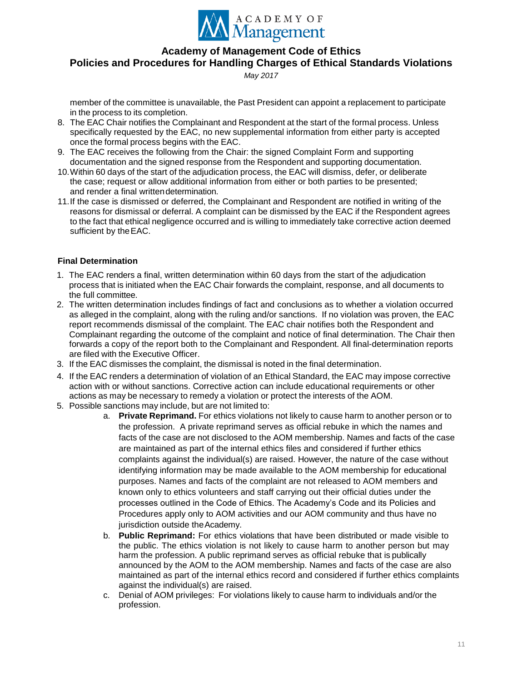

*May 2017*

member of the committee is unavailable, the Past President can appoint a replacement to participate in the process to its completion.

- 8. The EAC Chair notifies the Complainant and Respondent at the start of the formal process. Unless specifically requested by the EAC, no new supplemental information from either party is accepted once the formal process begins with the EAC.
- 9. The EAC receives the following from the Chair: the signed Complaint Form and supporting documentation and the signed response from the Respondent and supporting documentation.
- 10.Within 60 days of the start of the adjudication process, the EAC will dismiss, defer, or deliberate the case; request or allow additional information from either or both parties to be presented; and render a final writtendetermination.
- 11.If the case is dismissed or deferred, the Complainant and Respondent are notified in writing of the reasons for dismissal or deferral. A complaint can be dismissed by the EAC if the Respondent agrees to the fact that ethical negligence occurred and is willing to immediately take corrective action deemed sufficient by theEAC.

### **Final Determination**

- 1. The EAC renders a final, written determination within 60 days from the start of the adjudication process that is initiated when the EAC Chair forwards the complaint, response, and all documents to the full committee.
- 2. The written determination includes findings of fact and conclusions as to whether a violation occurred as alleged in the complaint, along with the ruling and/or sanctions. If no violation was proven, the EAC report recommends dismissal of the complaint. The EAC chair notifies both the Respondent and Complainant regarding the outcome of the complaint and notice of final determination. The Chair then forwards a copy of the report both to the Complainant and Respondent. All final-determination reports are filed with the Executive Officer.
- 3. If the EAC dismisses the complaint, the dismissal is noted in the final determination.
- 4. If the EAC renders a determination of violation of an Ethical Standard, the EAC may impose corrective action with or without sanctions. Corrective action can include educational requirements or other actions as may be necessary to remedy a violation or protect the interests of the AOM.
- 5. Possible sanctions may include, but are not limited to:
	- a. **Private Reprimand.** For ethics violations not likely to cause harm to another person or to the profession. A private reprimand serves as official rebuke in which the names and facts of the case are not disclosed to the AOM membership. Names and facts of the case are maintained as part of the internal ethics files and considered if further ethics complaints against the individual(s) are raised. However, the nature of the case without identifying information may be made available to the AOM membership for educational purposes. Names and facts of the complaint are not released to AOM members and known only to ethics volunteers and staff carrying out their official duties under the processes outlined in the Code of Ethics. The Academy's Code and its Policies and Procedures apply only to AOM activities and our AOM community and thus have no jurisdiction outside the Academy.
	- b. **Public Reprimand:** For ethics violations that have been distributed or made visible to the public. The ethics violation is not likely to cause harm to another person but may harm the profession. A public reprimand serves as official rebuke that is publically announced by the AOM to the AOM membership. Names and facts of the case are also maintained as part of the internal ethics record and considered if further ethics complaints against the individual(s) are raised.
	- c. Denial of AOM privileges: For violations likely to cause harm to individuals and/or the profession.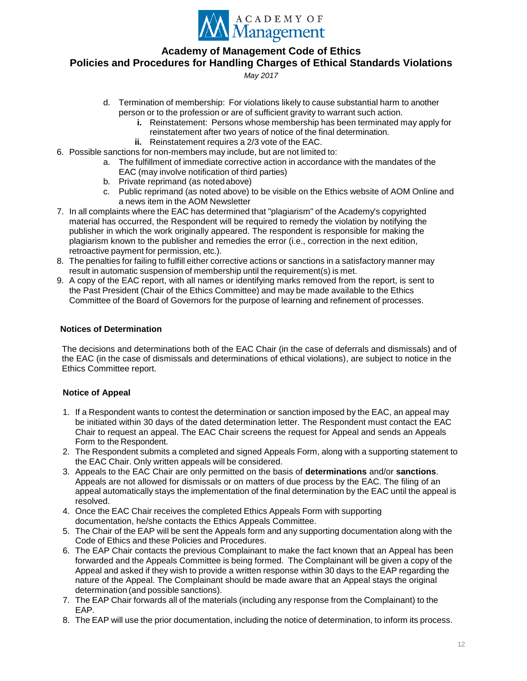

*May 2017*

- d. Termination of membership: For violations likely to cause substantial harm to another person or to the profession or are of sufficient gravity to warrant such action.
	- **i.** Reinstatement: Persons whose membership has been terminated may apply for reinstatement after two years of notice of the final determination.
	- **ii.** Reinstatement requires a 2/3 vote of the EAC.
- 6. Possible sanctions for non-members may include, but are not limited to:
	- a. The fulfillment of immediate corrective action in accordance with the mandates of the EAC (may involve notification of third parties)
	- b. Private reprimand (as notedabove)
	- c. Public reprimand (as noted above) to be visible on the Ethics website of AOM Online and a news item in the AOM Newsletter
- 7. In all complaints where the EAC has determined that "plagiarism" of the Academy's copyrighted material has occurred, the Respondent will be required to remedy the violation by notifying the publisher in which the work originally appeared. The respondent is responsible for making the plagiarism known to the publisher and remedies the error (i.e., correction in the next edition, retroactive payment for permission, etc.).
- 8. The penalties for failing to fulfill either corrective actions or sanctions in a satisfactory manner may result in automatic suspension of membership until the requirement(s) is met.
- 9. A copy of the EAC report, with all names or identifying marks removed from the report, is sent to the Past President (Chair of the Ethics Committee) and may be made available to the Ethics Committee of the Board of Governors for the purpose of learning and refinement of processes.

### **Notices of Determination**

The decisions and determinations both of the EAC Chair (in the case of deferrals and dismissals) and of the EAC (in the case of dismissals and determinations of ethical violations), are subject to notice in the Ethics Committee report.

## **Notice of Appeal**

- 1. If a Respondent wants to contest the determination or sanction imposed by the EAC, an appeal may be initiated within 30 days of the dated determination letter. The Respondent must contact the EAC Chair to request an appeal. The EAC Chair screens the request for Appeal and sends an Appeals Form to the Respondent.
- 2. The Respondent submits a completed and signed Appeals Form, along with a supporting statement to the EAC Chair. Only written appeals will be considered.
- 3. Appeals to the EAC Chair are only permitted on the basis of **determinations** and/or **sanctions**. Appeals are not allowed for dismissals or on matters of due process by the EAC. The filing of an appeal automatically stays the implementation of the final determination by the EAC until the appeal is resolved.
- 4. Once the EAC Chair receives the completed Ethics Appeals Form with supporting documentation, he/she contacts the Ethics Appeals Committee.
- 5. The Chair of the EAP will be sent the Appeals form and any supporting documentation along with the Code of Ethics and these Policies and Procedures.
- 6. The EAP Chair contacts the previous Complainant to make the fact known that an Appeal has been forwarded and the Appeals Committee is being formed. The Complainant will be given a copy of the Appeal and asked if they wish to provide a written response within 30 days to the EAP regarding the nature of the Appeal. The Complainant should be made aware that an Appeal stays the original determination (and possible sanctions).
- 7. The EAP Chair forwards all of the materials (including any response from the Complainant) to the EAP.
- 8. The EAP will use the prior documentation, including the notice of determination, to inform its process.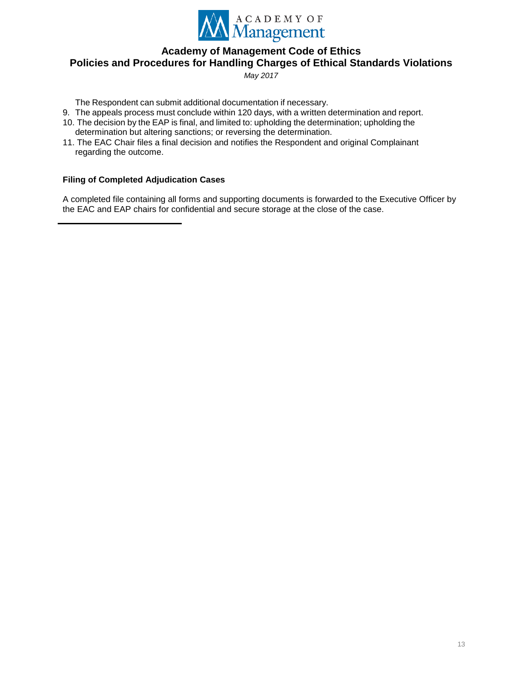

*May 2017*

The Respondent can submit additional documentation if necessary.

- 9. The appeals process must conclude within 120 days, with a written determination and report.
- 10. The decision by the EAP is final, and limited to: upholding the determination; upholding the determination but altering sanctions; or reversing the determination.
- 11. The EAC Chair files a final decision and notifies the Respondent and original Complainant regarding the outcome.

### **Filing of Completed Adjudication Cases**

A completed file containing all forms and supporting documents is forwarded to the Executive Officer by the EAC and EAP chairs for confidential and secure storage at the close of the case.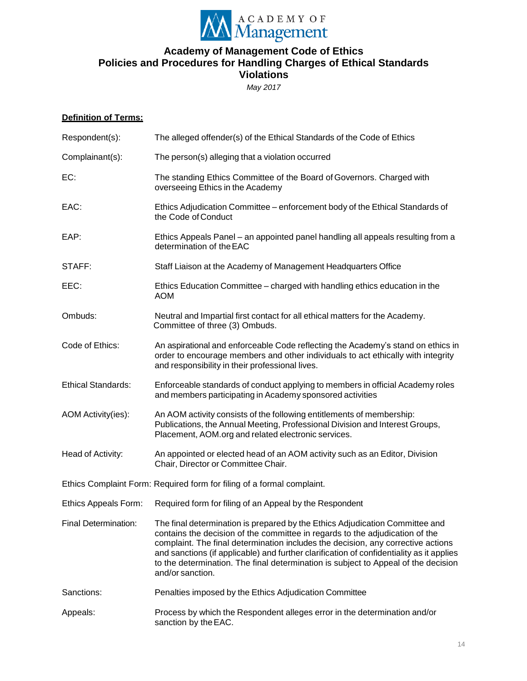

*May 2017*

## **Definition of Terms:**

| Respondent(s):              | The alleged offender(s) of the Ethical Standards of the Code of Ethics                                                                                                                                                                                                                                                                                                                                                                                 |  |
|-----------------------------|--------------------------------------------------------------------------------------------------------------------------------------------------------------------------------------------------------------------------------------------------------------------------------------------------------------------------------------------------------------------------------------------------------------------------------------------------------|--|
| Complainant(s):             | The person(s) alleging that a violation occurred                                                                                                                                                                                                                                                                                                                                                                                                       |  |
| EC:                         | The standing Ethics Committee of the Board of Governors. Charged with<br>overseeing Ethics in the Academy                                                                                                                                                                                                                                                                                                                                              |  |
| EAC:                        | Ethics Adjudication Committee - enforcement body of the Ethical Standards of<br>the Code of Conduct                                                                                                                                                                                                                                                                                                                                                    |  |
| EAP:                        | Ethics Appeals Panel – an appointed panel handling all appeals resulting from a<br>determination of the EAC                                                                                                                                                                                                                                                                                                                                            |  |
| STAFF:                      | Staff Liaison at the Academy of Management Headquarters Office                                                                                                                                                                                                                                                                                                                                                                                         |  |
| EEC:                        | Ethics Education Committee - charged with handling ethics education in the<br><b>AOM</b>                                                                                                                                                                                                                                                                                                                                                               |  |
| Ombuds:                     | Neutral and Impartial first contact for all ethical matters for the Academy.<br>Committee of three (3) Ombuds.                                                                                                                                                                                                                                                                                                                                         |  |
| Code of Ethics:             | An aspirational and enforceable Code reflecting the Academy's stand on ethics in<br>order to encourage members and other individuals to act ethically with integrity<br>and responsibility in their professional lives.                                                                                                                                                                                                                                |  |
| <b>Ethical Standards:</b>   | Enforceable standards of conduct applying to members in official Academy roles<br>and members participating in Academy sponsored activities                                                                                                                                                                                                                                                                                                            |  |
| AOM Activity(ies):          | An AOM activity consists of the following entitlements of membership:<br>Publications, the Annual Meeting, Professional Division and Interest Groups,<br>Placement, AOM org and related electronic services.                                                                                                                                                                                                                                           |  |
| Head of Activity:           | An appointed or elected head of an AOM activity such as an Editor, Division<br>Chair, Director or Committee Chair.                                                                                                                                                                                                                                                                                                                                     |  |
|                             | Ethics Complaint Form: Required form for filing of a formal complaint.                                                                                                                                                                                                                                                                                                                                                                                 |  |
| Ethics Appeals Form:        | Required form for filing of an Appeal by the Respondent                                                                                                                                                                                                                                                                                                                                                                                                |  |
| <b>Final Determination:</b> | The final determination is prepared by the Ethics Adjudication Committee and<br>contains the decision of the committee in regards to the adjudication of the<br>complaint. The final determination includes the decision, any corrective actions<br>and sanctions (if applicable) and further clarification of confidentiality as it applies<br>to the determination. The final determination is subject to Appeal of the decision<br>and/or sanction. |  |
| Sanctions:                  | Penalties imposed by the Ethics Adjudication Committee                                                                                                                                                                                                                                                                                                                                                                                                 |  |
| Appeals:                    | Process by which the Respondent alleges error in the determination and/or<br>sanction by the EAC.                                                                                                                                                                                                                                                                                                                                                      |  |